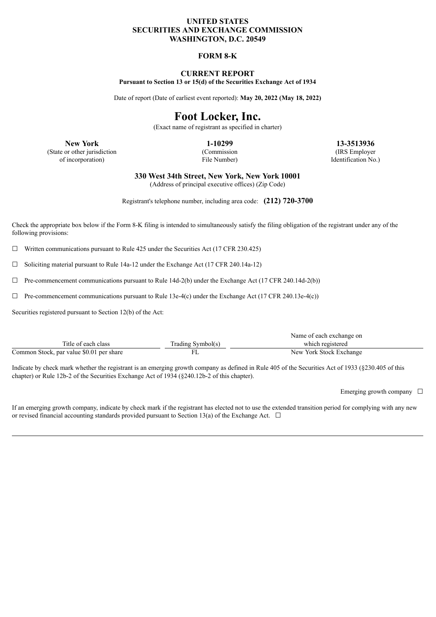## **UNITED STATES SECURITIES AND EXCHANGE COMMISSION WASHINGTON, D.C. 20549**

## **FORM 8-K**

## **CURRENT REPORT Pursuant to Section 13 or 15(d) of the Securities Exchange Act of 1934**

Date of report (Date of earliest event reported): **May 20, 2022 (May 18, 2022)**

# **Foot Locker, Inc.**

(Exact name of registrant as specified in charter)

(State or other jurisdiction of incorporation)

(Commission File Number)

**New York 1-10299 13-3513936** (IRS Employer Identification No.)

**330 West 34th Street, New York, New York 10001**

(Address of principal executive offices) (Zip Code)

Registrant's telephone number, including area code: **(212) 720-3700**

Check the appropriate box below if the Form 8-K filing is intended to simultaneously satisfy the filing obligation of the registrant under any of the following provisions:

 $\Box$  Written communications pursuant to Rule 425 under the Securities Act (17 CFR 230.425)

☐ Soliciting material pursuant to Rule 14a-12 under the Exchange Act (17 CFR 240.14a-12)

 $\Box$  Pre-commencement communications pursuant to Rule 14d-2(b) under the Exchange Act (17 CFR 240.14d-2(b))

 $\Box$  Pre-commencement communications pursuant to Rule 13e-4(c) under the Exchange Act (17 CFR 240.13e-4(c))

Securities registered pursuant to Section 12(b) of the Act:

|                                          |                   | Name of each exchange on |
|------------------------------------------|-------------------|--------------------------|
| Title of each class                      | Trading Symbol(s) | which registered         |
| Common Stock, par value \$0.01 per share |                   | New York Stock Exchange  |

Indicate by check mark whether the registrant is an emerging growth company as defined in Rule 405 of the Securities Act of 1933 (§230.405 of this chapter) or Rule 12b-2 of the Securities Exchange Act of 1934 (§240.12b-2 of this chapter).

Emerging growth company  $\Box$ 

If an emerging growth company, indicate by check mark if the registrant has elected not to use the extended transition period for complying with any new or revised financial accounting standards provided pursuant to Section 13(a) of the Exchange Act.  $\Box$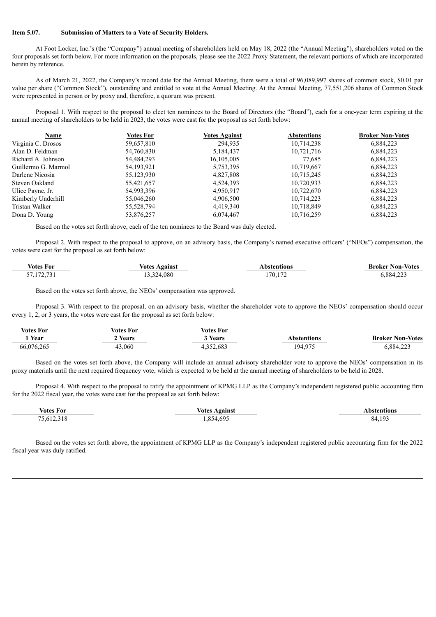#### **Item 5.07. Submission of Matters to a Vote of Security Holders.**

At Foot Locker, Inc.'s (the "Company") annual meeting of shareholders held on May 18, 2022 (the "Annual Meeting"), shareholders voted on the four proposals set forth below. For more information on the proposals, please see the 2022 Proxy Statement, the relevant portions of which are incorporated herein by reference.

As of March 21, 2022, the Company's record date for the Annual Meeting, there were a total of 96,089,997 shares of common stock, \$0.01 par value per share ("Common Stock"), outstanding and entitled to vote at the Annual Meeting. At the Annual Meeting, 77,551,206 shares of Common Stock were represented in person or by proxy and, therefore, a quorum was present.

Proposal 1. With respect to the proposal to elect ten nominees to the Board of Directors (the "Board"), each for a one-year term expiring at the annual meeting of shareholders to be held in 2023, the votes were cast for the proposal as set forth below:

| Name                | Votes For    | <b>Votes Against</b> | <b>Abstentions</b> | <b>Broker Non-Votes</b> |
|---------------------|--------------|----------------------|--------------------|-------------------------|
| Virginia C. Drosos  | 59,657,810   | 294,935              | 10,714,238         | 6,884,223               |
| Alan D. Feldman     | 54,760,830   | 5,184,437            | 10,721,716         | 6,884,223               |
| Richard A. Johnson  | 54,484,293   | 16,105,005           | 77,685             | 6,884,223               |
| Guillermo G. Marmol | 54, 193, 921 | 5,753,395            | 10,719,667         | 6,884,223               |
| Darlene Nicosia     | 55,123,930   | 4,827,808            | 10,715,245         | 6,884,223               |
| Steven Oakland      | 55,421,657   | 4,524,393            | 10,720,933         | 6,884,223               |
| Ulice Payne, Jr.    | 54,993,396   | 4,950,917            | 10,722,670         | 6,884,223               |
| Kimberly Underhill  | 55,046,260   | 4,906,500            | 10,714,223         | 6,884,223               |
| Tristan Walker      | 55,528,794   | 4,419,340            | 10,718,849         | 6,884,223               |
| Dona D. Young       | 53,876,257   | 6,074,467            | 10,716,259         | 6,884,223               |

Based on the votes set forth above, each of the ten nominees to the Board was duly elected.

Proposal 2. With respect to the proposal to approve, on an advisory basis, the Company's named executive officers' ("NEOs") compensation, the votes were cast for the proposal as set forth below:

| $\mathbf{v}$<br>Votes For | Against<br>Votes | <b>bstentions</b> | <b>Broker Non-Votes</b> |
|---------------------------|------------------|-------------------|-------------------------|
| 571727<br>J1.114.1J       | ,324,080         | 170.172           | 0.88422<br>┱.∠∠         |

Based on the votes set forth above, the NEOs' compensation was approved.

Proposal 3. With respect to the proposal, on an advisory basis, whether the shareholder vote to approve the NEOs' compensation should occur every 1, 2, or 3 years, the votes were cast for the proposal as set forth below:

| <b>Votes For</b> | Votes For | <b>Votes For</b> |                  |                         |
|------------------|-----------|------------------|------------------|-------------------------|
| Year             | Years     | Years            | Abstentions      | <b>Broker Non-Votes</b> |
| 66,076,265       | 43,060    | 4,352,683        | 194 975<br>1/1/1 | 6,884,223               |

Based on the votes set forth above, the Company will include an annual advisory shareholder vote to approve the NEOs' compensation in its proxy materials until the next required frequency vote, which is expected to be held at the annual meeting of shareholders to be held in 2028.

Proposal 4. With respect to the proposal to ratify the appointment of KPMG LLP as the Company's independent registered public accounting firm for the 2022 fiscal year, the votes were cast for the proposal as set forth below:

| <b>Votes For</b>                        | <b>Votes Against</b> | <b>\bstentions</b>            |
|-----------------------------------------|----------------------|-------------------------------|
| (12.210)<br>751<br>יוח ר<br>210<br>$-1$ | $+692$<br>854<br>.   | 10 <sup>2</sup><br>- 11<br>xд |

Based on the votes set forth above, the appointment of KPMG LLP as the Company's independent registered public accounting firm for the 2022 fiscal year was duly ratified.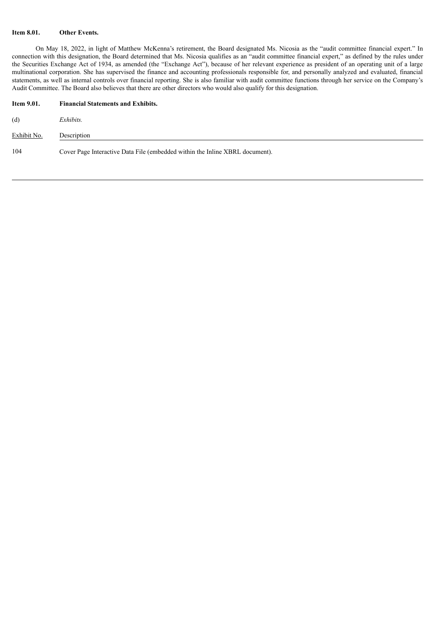### **Item 8.01. Other Events.**

On May 18, 2022, in light of Matthew McKenna's retirement, the Board designated Ms. Nicosia as the "audit committee financial expert." In connection with this designation, the Board determined that Ms. Nicosia qualifies as an "audit committee financial expert," as defined by the rules under the Securities Exchange Act of 1934, as amended (the "Exchange Act"), because of her relevant experience as president of an operating unit of a large multinational corporation. She has supervised the finance and accounting professionals responsible for, and personally analyzed and evaluated, financial statements, as well as internal controls over financial reporting. She is also familiar with audit committee functions through her service on the Company's Audit Committee. The Board also believes that there are other directors who would also qualify for this designation.

| <b>Item 9.01.</b> | <b>Financial Statements and Exhibits.</b>                                    |
|-------------------|------------------------------------------------------------------------------|
| (d)               | Exhibits.                                                                    |
| Exhibit No.       | Description                                                                  |
| 104               | Cover Page Interactive Data File (embedded within the Inline XBRL document). |